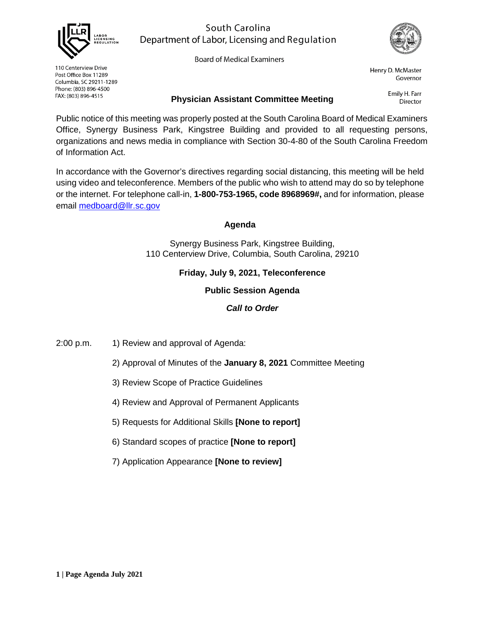

## South Carolina Department of Labor, Licensing and Regulation

**Board of Medical Examiners** 



Henry D. McMaster Governor

110 Centerview Drive Post Office Box 11289 Columbia, SC 29211-1289 Phone: (803) 896-4500 FAX: (803) 896-4515

### **Physician Assistant Committee Meeting**

Emily H. Farr **Director** 

Public notice of this meeting was properly posted at the South Carolina Board of Medical Examiners Office, Synergy Business Park, Kingstree Building and provided to all requesting persons, organizations and news media in compliance with Section 30-4-80 of the South Carolina Freedom of Information Act.

In accordance with the Governor's directives regarding social distancing, this meeting will be held using video and teleconference. Members of the public who wish to attend may do so by telephone or the internet. For telephone call-in, **1-800-753-1965, code 8968969#,** and for information, please email [medboard@llr.sc.gov](mailto:medboard@llr.sc.gov)

## **Agenda**

Synergy Business Park, Kingstree Building, 110 Centerview Drive, Columbia, South Carolina, 29210

## **Friday, July 9, 2021, Teleconference**

**Public Session Agenda**

### *Call to Order*

2:00 p.m. 1) Review and approval of Agenda:

- 2) Approval of Minutes of the **January 8, 2021** Committee Meeting
- 3) Review Scope of Practice Guidelines
- 4) Review and Approval of Permanent Applicants
- 5) Requests for Additional Skills **[None to report]**
- 6) Standard scopes of practice **[None to report]**
- 7) Application Appearance **[None to review]**